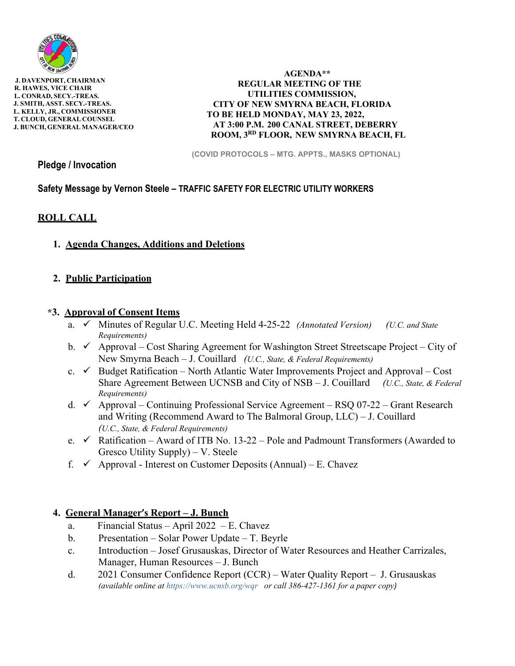

 **J. DAVENPORT, CHAIRMAN R. HAWES, VICE CHAIR L. CONRAD, SECY.-TREAS. J. SMITH, ASST. SECY.-TREAS. L. KELLY, JR., COMMISSIONER T. CLOUD, GENERAL COUNSEL J. BUNCH, GENERAL MANAGER/CEO** 

 **AGENDA\*\* REGULAR MEETING OF THE UTILITIES COMMISSION, CITY OF NEW SMYRNA BEACH, FLORIDA TO BE HELD MONDAY, MAY 23, 2022, AT 3:00 P.M. 200 CANAL STREET, DEBERRY ROOM, 3RD FLOOR, NEW SMYRNA BEACH, FL** 

**(COVID PROTOCOLS – MTG. APPTS., MASKS OPTIONAL)** 

**Pledge / Invocation** 

**Safety Message by Vernon Steele – TRAFFIC SAFETY FOR ELECTRIC UTILITY WORKERS** 

# **ROLL CALL**

**1. Agenda Changes, Additions and Deletions**

# **2. Public Participation**

## **\*3. Approval of Consent Items**

- a. **√** Minutes of Regular U.C. Meeting Held 4-25-22 *(Annotated Version) (U.C. and State Requirements)*
- b.  $\checkmark$  Approval Cost Sharing Agreement for Washington Street Streetscape Project City of New Smyrna Beach – J. Couillard *(U.C., State, & Federal Requirements)*
- c.  $\checkmark$  Budget Ratification North Atlantic Water Improvements Project and Approval Cost Share Agreement Between UCNSB and City of NSB – J. Couillard *(U.C., State, & Federal Requirements)*
- d.  $\checkmark$  Approval Continuing Professional Service Agreement RSQ 07-22 Grant Research and Writing (Recommend Award to The Balmoral Group, LLC) – J. Couillard *(U.C., State, & Federal Requirements)*
- e.  $\checkmark$  Ratification Award of ITB No. 13-22 Pole and Padmount Transformers (Awarded to Gresco Utility Supply) – V. Steele
- f.  $\checkmark$  Approval Interest on Customer Deposits (Annual) E. Chavez

# **4. General Manager's Report – J. Bunch**

- a. Financial Status April 2022 E. Chavez
- b. Presentation Solar Power Update T. Beyrle
- c. Introduction Josef Grusauskas, Director of Water Resources and Heather Carrizales, Manager, Human Resources – J. Bunch
- d. 2021 Consumer Confidence Report (CCR) Water Quality Report J. Grusauskas *(available online at https://www.ucnsb.org/wqr or call 386-427-1361 for a paper copy)*